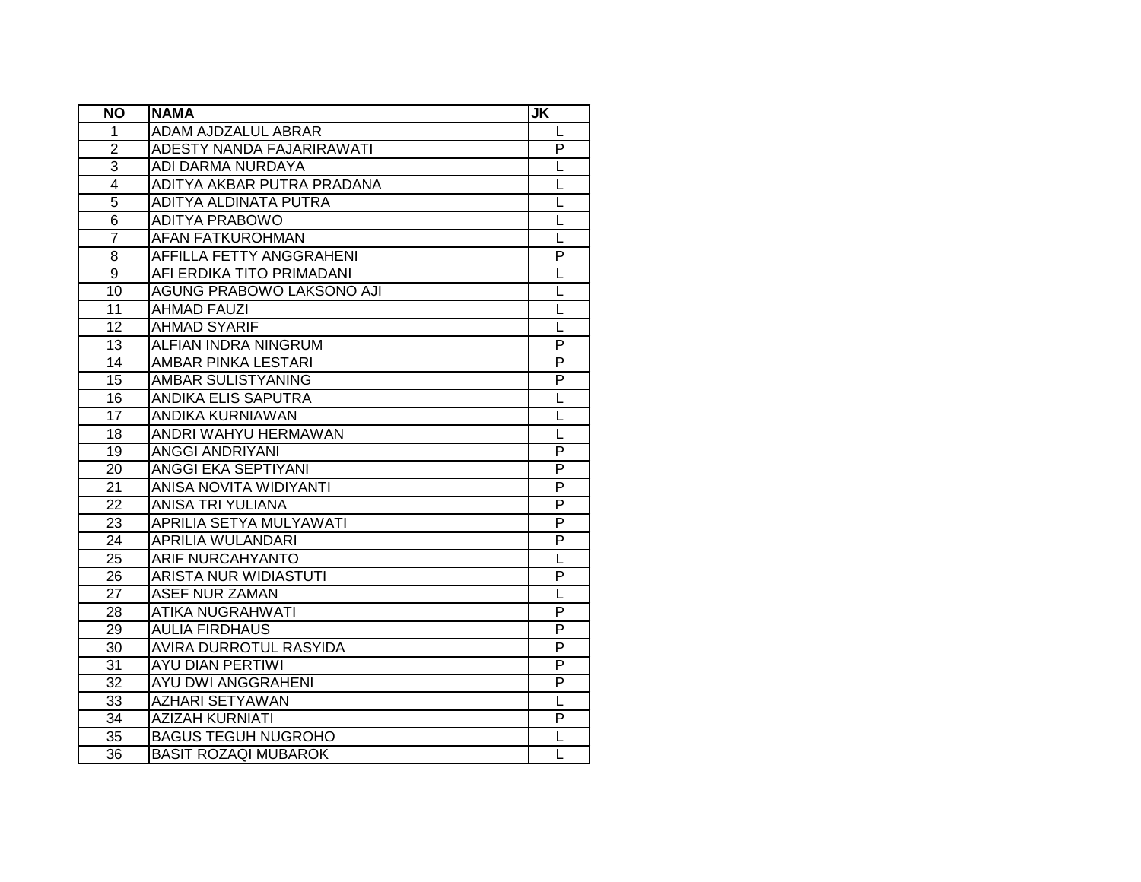| <b>NO</b>       | <b>NAMA</b>                    | <b>JK</b>               |
|-----------------|--------------------------------|-------------------------|
| 1               | ADAM AJDZALUL ABRAR            | L                       |
| $\overline{2}$  | ADESTY NANDA FAJARIRAWATI      | P                       |
| 3               | ADI DARMA NURDAYA              | L                       |
| $\overline{4}$  | ADITYA AKBAR PUTRA PRADANA     | L                       |
| $\overline{5}$  | ADITYA ALDINATA PUTRA          | L                       |
| 6               | <b>ADITYA PRABOWO</b>          | L                       |
| 7               | <b>AFAN FATKUROHMAN</b>        | L                       |
| 8               | AFFILLA FETTY ANGGRAHENI       | P                       |
| 9               | AFI ERDIKA TITO PRIMADANI      | L                       |
| 10              | AGUNG PRABOWO LAKSONO AJI      | L                       |
| 11              | <b>AHMAD FAUZI</b>             | L                       |
| 12              | <b>AHMAD SYARIF</b>            | L                       |
| 13              | ALFIAN INDRA NINGRUM           | P                       |
| 14              | <b>AMBAR PINKA LESTARI</b>     | P                       |
| 15              | AMBAR SULISTYANING             | P                       |
| 16              | ANDIKA ELIS SAPUTRA            | L                       |
| 17              | ANDIKA KURNIAWAN               | L                       |
| 18              | ANDRI WAHYU HERMAWAN           | $\overline{\mathsf{L}}$ |
| 19              | <b>ANGGI ANDRIYANI</b>         | P                       |
| 20              | ANGGI EKA SEPTIYANI            | P                       |
| 21              | ANISA NOVITA WIDIYANTI         | P                       |
| 22              | ANISA TRI YULIANA              | P                       |
| 23              | <b>APRILIA SETYA MULYAWATI</b> | P                       |
| 24              | <b>APRILIA WULANDARI</b>       | $\overline{P}$          |
| $\overline{25}$ | <b>ARIF NURCAHYANTO</b>        | L                       |
| 26              | <b>ARISTA NUR WIDIASTUTI</b>   | P                       |
| 27              | <b>ASEF NUR ZAMAN</b>          | L                       |
| $\overline{28}$ | <b>ATIKA NUGRAHWATI</b>        | $\overline{P}$          |
| $\overline{29}$ | <b>AULIA FIRDHAUS</b>          | P                       |
| 30              | <b>AVIRA DURROTUL RASYIDA</b>  | P                       |
| 31              | <b>AYU DIAN PERTIWI</b>        | P                       |
| 32              | <b>AYU DWI ANGGRAHENI</b>      | P                       |
| 33              | <b>AZHARI SETYAWAN</b>         | L                       |
| 34              | <b>AZIZAH KURNIATI</b>         | P                       |
| 35              | <b>BAGUS TEGUH NUGROHO</b>     | L                       |
| 36              | <b>BASIT ROZAQI MUBAROK</b>    | L                       |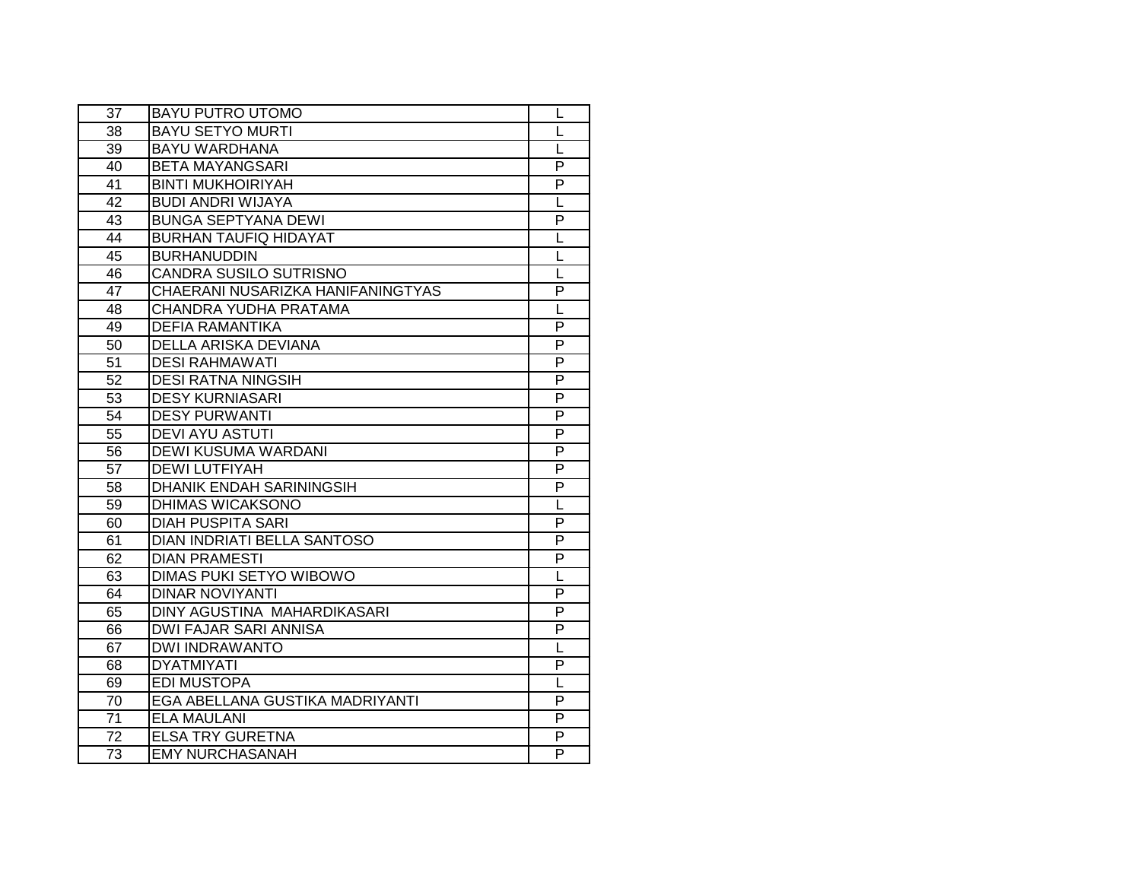| 37              | <b>BAYU PUTRO UTOMO</b>            | L |
|-----------------|------------------------------------|---|
| 38              | <b>BAYU SETYO MURTI</b>            | L |
| 39              | <b>BAYU WARDHANA</b>               | L |
| 40              | <b>BETA MAYANGSARI</b>             | P |
| 41              | <b>BINTI MUKHOIRIYAH</b>           | P |
| 42              | <b>BUDI ANDRI WIJAYA</b>           | L |
| 43              | <b>BUNGA SEPTYANA DEWI</b>         | P |
| 44              | <b>BURHAN TAUFIQ HIDAYAT</b>       | L |
| 45              | <b>BURHANUDDIN</b>                 | L |
| 46              | CANDRA SUSILO SUTRISNO             | L |
| 47              | CHAERANI NUSARIZKA HANIFANINGTYAS  | P |
| 48              | CHANDRA YUDHA PRATAMA              | L |
| 49              | <b>DEFIA RAMANTIKA</b>             | P |
| 50              | DELLA ARISKA DEVIANA               | P |
| $\overline{51}$ | <b>DESI RAHMAWATI</b>              | P |
| 52              | <b>DESI RATNA NINGSIH</b>          | P |
| 53              | <b>DESY KURNIASARI</b>             | P |
| 54              | <b>DESY PURWANTI</b>               | P |
| 55              | <b>DEVI AYU ASTUTI</b>             | P |
| 56              | DEWI KUSUMA WARDANI                | P |
| 57              | <b>DEWI LUTFIYAH</b>               | P |
| 58              | <b>DHANIK ENDAH SARININGSIH</b>    | P |
| 59              | DHIMAS WICAKSONO                   | L |
| 60              | <b>DIAH PUSPITA SARI</b>           | P |
| 61              | <b>DIAN INDRIATI BELLA SANTOSO</b> | P |
| 62              | <b>DIAN PRAMESTI</b>               | P |
| 63              | <b>DIMAS PUKI SETYO WIBOWO</b>     | L |
| 64              | <b>DINAR NOVIYANTI</b>             | P |
| 65              | <b>DINY AGUSTINA MAHARDIKASARI</b> | P |
| 66              | <b>DWI FAJAR SARI ANNISA</b>       | P |
| 67              | <b>DWI INDRAWANTO</b>              | L |
| 68              | <b>DYATMIYATI</b>                  | P |
| 69              | <b>EDI MUSTOPA</b>                 | L |
| 70              | EGA ABELLANA GUSTIKA MADRIYANTI    | P |
| 71              | <b>ELA MAULANI</b>                 | P |
| 72              | <b>ELSA TRY GURETNA</b>            | P |
| 73              | <b>EMY NURCHASANAH</b>             | P |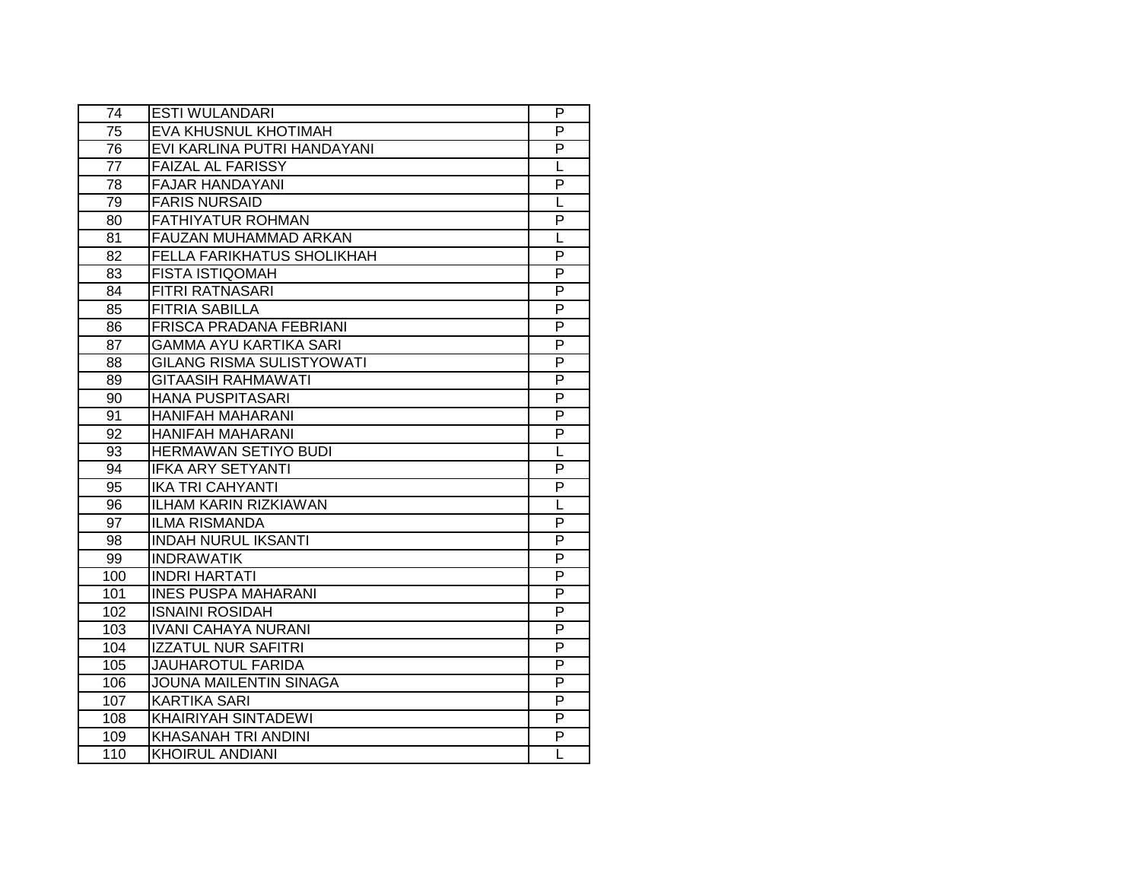| 74  | <b>ESTI WULANDARI</b>            | P              |
|-----|----------------------------------|----------------|
| 75  | EVA KHUSNUL KHOTIMAH             | P              |
| 76  | EVI KARLINA PUTRI HANDAYANI      | P              |
| 77  | <b>FAIZAL AL FARISSY</b>         | L              |
| 78  | <b>FAJAR HANDAYANI</b>           | $\overline{P}$ |
| 79  | <b>FARIS NURSAID</b>             | L              |
| 80  | <b>FATHIYATUR ROHMAN</b>         | P              |
| 81  | FAUZAN MUHAMMAD ARKAN            | L              |
| 82  | FELLA FARIKHATUS SHOLIKHAH       | P              |
| 83  | <b>FISTA ISTIQOMAH</b>           | P              |
| 84  | FITRI RATNASARI                  | P              |
| 85  | <b>FITRIA SABILLA</b>            | P              |
| 86  | FRISCA PRADANA FEBRIANI          | P              |
| 87  | <b>GAMMA AYU KARTIKA SARI</b>    | P              |
| 88  | <b>GILANG RISMA SULISTYOWATI</b> | P              |
| 89  | <b>GITAASIH RAHMAWATI</b>        | P              |
| 90  | <b>HANA PUSPITASARI</b>          | $\overline{P}$ |
| 91  | <b>HANIFAH MAHARANI</b>          | P              |
| 92  | <b>HANIFAH MAHARANI</b>          | P              |
| 93  | HERMAWAN SETIYO BUDI             | L              |
| 94  | <b>IFKA ARY SETYANTI</b>         | P              |
| 95  | <b>IKA TRI CAHYANTI</b>          | P              |
| 96  | <b>ILHAM KARIN RIZKIAWAN</b>     | L              |
| 97  | <b>ILMA RISMANDA</b>             | P              |
| 98  | <b>INDAH NURUL IKSANTI</b>       | $\overline{P}$ |
| 99  | <b>INDRAWATIK</b>                | P              |
| 100 | <b>INDRI HARTATI</b>             | $\overline{P}$ |
| 101 | <b>INES PUSPA MAHARANI</b>       | $\overline{P}$ |
| 102 | <b>ISNAINI ROSIDAH</b>           | P              |
| 103 | <b>IVANI CAHAYA NURANI</b>       | $\overline{P}$ |
| 104 | <b>IZZATUL NUR SAFITRI</b>       | P              |
| 105 | <b>JAUHAROTUL FARIDA</b>         | P              |
| 106 | <b>JOUNA MAILENTIN SINAGA</b>    | P              |
| 107 | <b>KARTIKA SARI</b>              | P              |
| 108 | KHAIRIYAH SINTADEWI              | P              |
| 109 | <b>KHASANAH TRI ANDINI</b>       | P              |
| 110 | <b>KHOIRUL ANDIANI</b>           | L              |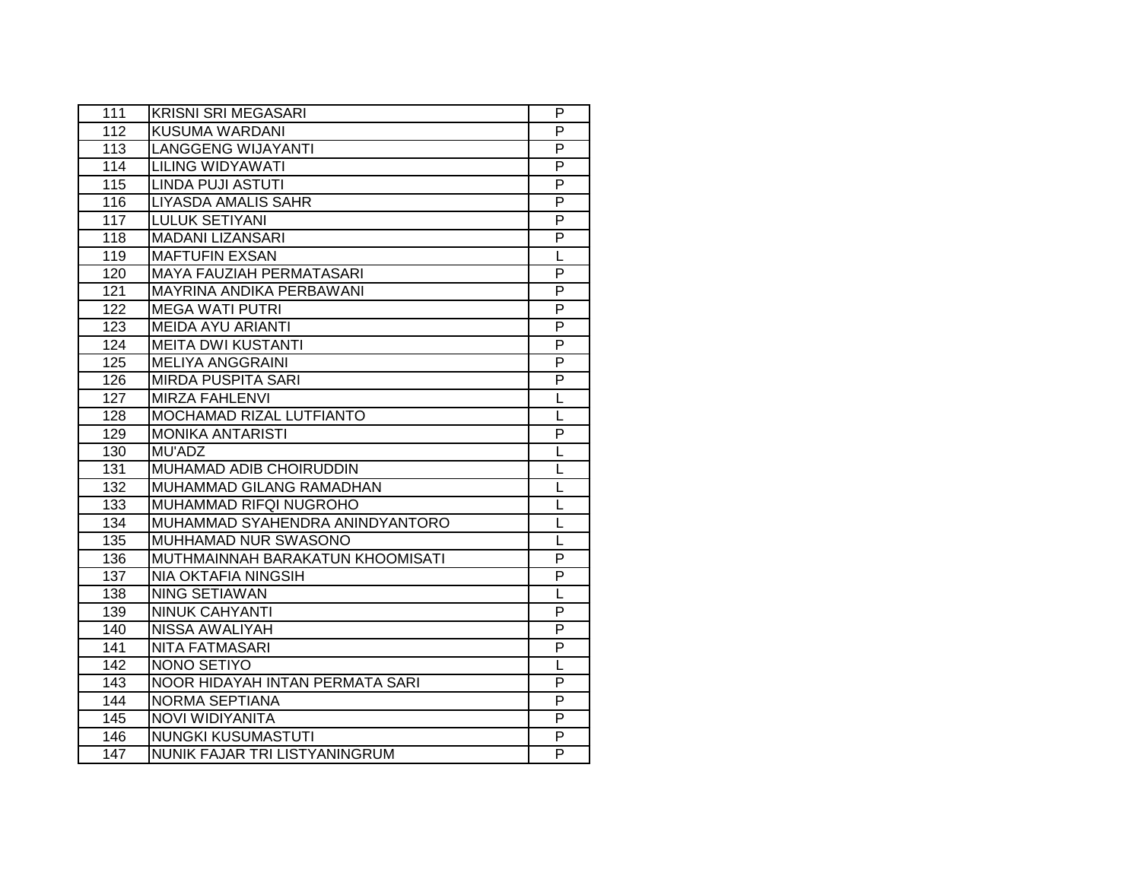| 111              | <b>KRISNI SRI MEGASARI</b>       | P              |
|------------------|----------------------------------|----------------|
| 112              | <b>KUSUMA WARDANI</b>            | $\overline{P}$ |
| 113              | <b>LANGGENG WIJAYANTI</b>        | $\overline{P}$ |
| 114              | <b>LILING WIDYAWATI</b>          | P              |
| 115              | <b>LINDA PUJI ASTUTI</b>         | $\overline{P}$ |
| 116              | <b>LIYASDA AMALIS SAHR</b>       | P              |
| 117              | <b>LULUK SETIYANI</b>            | P              |
| 118              | <b>MADANI LIZANSARI</b>          | P              |
| 119              | <b>MAFTUFIN EXSAN</b>            | L              |
| 120              | <b>MAYA FAUZIAH PERMATASARI</b>  | P              |
| 121              | MAYRINA ANDIKA PERBAWANI         | $\overline{P}$ |
| 122              | <b>MEGA WATI PUTRI</b>           | $\overline{P}$ |
| 123              | <b>MEIDA AYU ARIANTI</b>         | P              |
| 124              | <b>MEITA DWI KUSTANTI</b>        | P              |
| 125              | <b>MELIYA ANGGRAINI</b>          | P              |
| 126              | <b>MIRDA PUSPITA SARI</b>        | P              |
| 127              | <b>MIRZA FAHLENVI</b>            | L              |
| 128              | MOCHAMAD RIZAL LUTFIANTO         | L              |
| 129              | <b>MONIKA ANTARISTI</b>          | P              |
| 130              | MU'ADZ                           | L              |
| 131              | MUHAMAD ADIB CHOIRUDDIN          | L              |
| 132              | MUHAMMAD GILANG RAMADHAN         | L              |
| $\overline{133}$ | MUHAMMAD RIFQI NUGROHO           | L              |
| 134              | MUHAMMAD SYAHENDRA ANINDYANTORO  | L              |
| 135              | MUHHAMAD NUR SWASONO             | L              |
| 136              | MUTHMAINNAH BARAKATUN KHOOMISATI | $\overline{P}$ |
| 137              | <b>NIA OKTAFIA NINGSIH</b>       | $\overline{P}$ |
| 138              | <b>NING SETIAWAN</b>             | L              |
| 139              | <b>NINUK CAHYANTI</b>            | $\overline{P}$ |
| 140              | <b>NISSA AWALIYAH</b>            | $\overline{P}$ |
| 141              | <b>NITA FATMASARI</b>            | P              |
| 142              | NONO SETIYO                      | L              |
| 143              | NOOR HIDAYAH INTAN PERMATA SARI  | P              |
| 144              | NORMA SEPTIANA                   | P              |
| 145              | NOVI WIDIYANITA                  | P              |
| 146              | NUNGKI KUSUMASTUTI               | P              |
| 147              | NUNIK FAJAR TRI LISTYANINGRUM    | P              |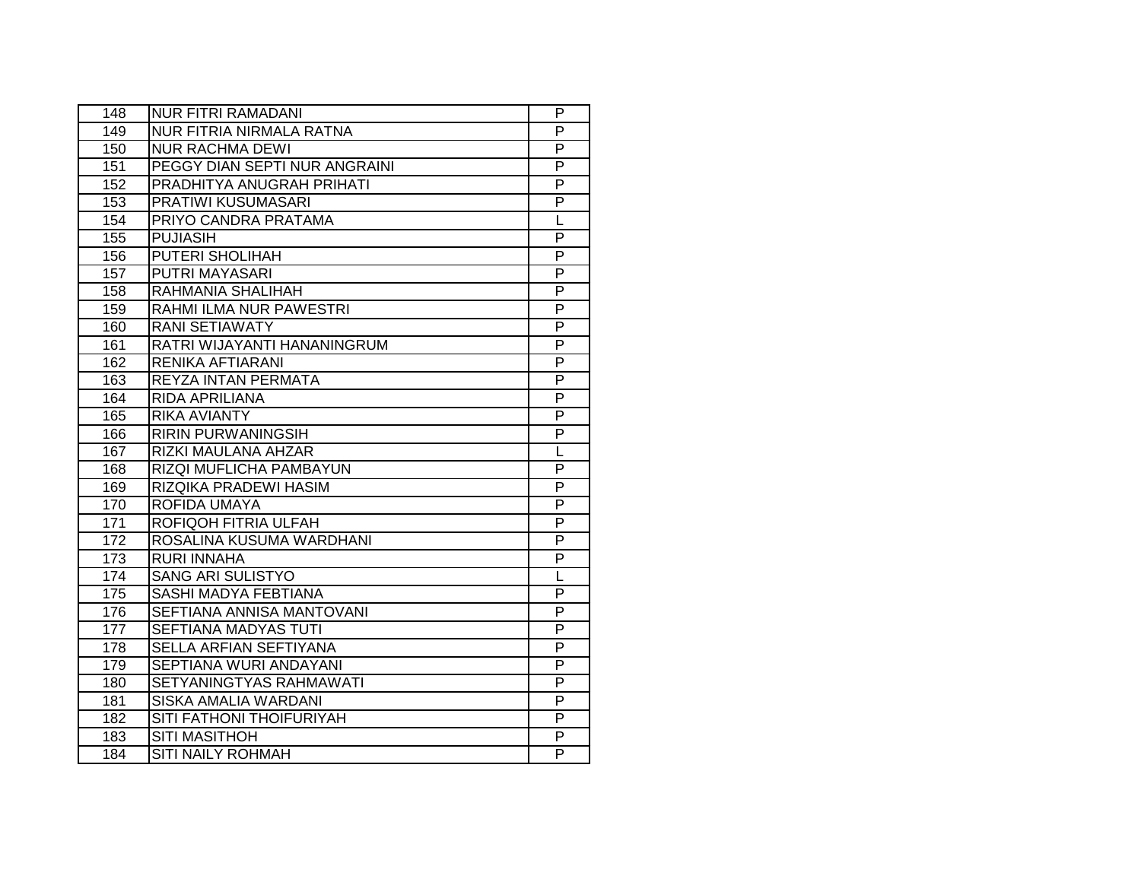| 148              | <b>NUR FITRI RAMADANI</b>     | P              |
|------------------|-------------------------------|----------------|
| 149              | NUR FITRIA NIRMALA RATNA      | P              |
| 150              | <b>NUR RACHMA DEWI</b>        | P              |
| 151              | PEGGY DIAN SEPTI NUR ANGRAINI | P              |
| 152              | PRADHITYA ANUGRAH PRIHATI     | $\overline{P}$ |
| 153              | PRATIWI KUSUMASARI            | P              |
| 154              | PRIYO CANDRA PRATAMA          | L              |
| 155              | <b>PUJIASIH</b>               | P              |
| 156              | PUTERI SHOLIHAH               | P              |
| 157              | <b>PUTRI MAYASARI</b>         | P              |
| 158              | RAHMANIA SHALIHAH             | P              |
| 159              | RAHMI ILMA NUR PAWESTRI       | P              |
| 160              | <b>RANI SETIAWATY</b>         | P              |
| 161              | RATRI WIJAYANTI HANANINGRUM   | P              |
| 162              | <b>RENIKA AFTIARANI</b>       | P              |
| 163              | REYZA INTAN PERMATA           | P              |
| 164              | <b>RIDA APRILIANA</b>         | $\overline{P}$ |
| 165              | <b>RIKA AVIANTY</b>           | P              |
| 166              | <b>RIRIN PURWANINGSIH</b>     | P              |
| 167              | RIZKI MAULANA AHZAR           | L              |
| 168              | RIZQI MUFLICHA PAMBAYUN       | P              |
| 169              | RIZQIKA PRADEWI HASIM         | P              |
| 170              | ROFIDA UMAYA                  | P              |
| 171              | ROFIQOH FITRIA ULFAH          | P              |
| $\overline{172}$ | ROSALINA KUSUMA WARDHANI      | $\overline{P}$ |
| $\overline{173}$ | <b>RURI INNAHA</b>            | P              |
| 174              | <b>SANG ARI SULISTYO</b>      | L              |
| 175              | SASHI MADYA FEBTIANA          | $\overline{P}$ |
| 176              | SEFTIANA ANNISA MANTOVANI     | P              |
| 177              | <b>SEFTIANA MADYAS TUTI</b>   | $\overline{P}$ |
| 178              | <b>SELLA ARFIAN SEFTIYANA</b> | P              |
| 179              | SEPTIANA WURI ANDAYANI        | P              |
| 180              | SETYANINGTYAS RAHMAWATI       | P              |
| 181              | <b>SISKA AMALIA WARDANI</b>   | P              |
| 182              | SITI FATHONI THOIFURIYAH      | P              |
| 183              | <b>SITI MASITHOH</b>          | P              |
| 184              | <b>SITI NAILY ROHMAH</b>      | P              |